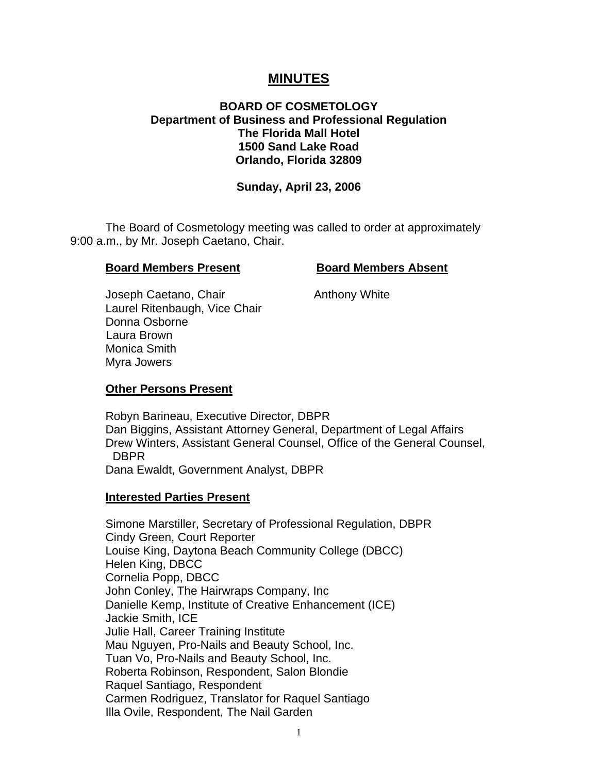# **MINUTES**

# **BOARD OF COSMETOLOGY Department of Business and Professional Regulation The Florida Mall Hotel 1500 Sand Lake Road Orlando, Florida 32809**

#### **Sunday, April 23, 2006**

 The Board of Cosmetology meeting was called to order at approximately 9:00 a.m., by Mr. Joseph Caetano, Chair.

#### **Board Members Present Board Members Absent**

Joseph Caetano, Chair **Anthony White**  Laurel Ritenbaugh, Vice Chair Donna Osborne Laura Brown Monica Smith Myra Jowers

#### **Other Persons Present**

 Robyn Barineau, Executive Director, DBPR Dan Biggins, Assistant Attorney General, Department of Legal Affairs Drew Winters, Assistant General Counsel, Office of the General Counsel, DBPR Dana Ewaldt, Government Analyst, DBPR

#### **Interested Parties Present**

Simone Marstiller, Secretary of Professional Regulation, DBPR Cindy Green, Court Reporter Louise King, Daytona Beach Community College (DBCC) Helen King, DBCC Cornelia Popp, DBCC John Conley, The Hairwraps Company, Inc Danielle Kemp, Institute of Creative Enhancement (ICE) Jackie Smith, ICE Julie Hall, Career Training Institute Mau Nguyen, Pro-Nails and Beauty School, Inc. Tuan Vo, Pro-Nails and Beauty School, Inc. Roberta Robinson, Respondent, Salon Blondie Raquel Santiago, Respondent Carmen Rodriguez, Translator for Raquel Santiago Illa Ovile, Respondent, The Nail Garden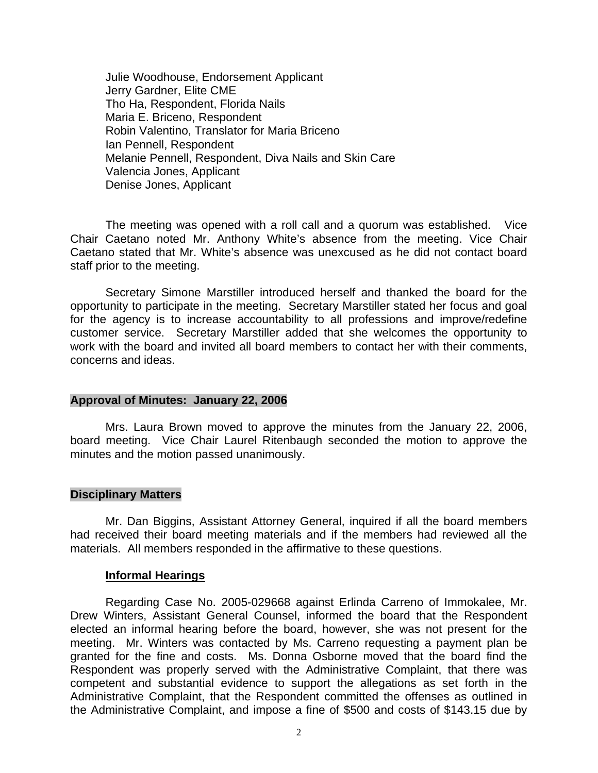Julie Woodhouse, Endorsement Applicant Jerry Gardner, Elite CME Tho Ha, Respondent, Florida Nails Maria E. Briceno, Respondent Robin Valentino, Translator for Maria Briceno Ian Pennell, Respondent Melanie Pennell, Respondent, Diva Nails and Skin Care Valencia Jones, Applicant Denise Jones, Applicant

 The meeting was opened with a roll call and a quorum was established. Vice Chair Caetano noted Mr. Anthony White's absence from the meeting. Vice Chair Caetano stated that Mr. White's absence was unexcused as he did not contact board staff prior to the meeting.

 Secretary Simone Marstiller introduced herself and thanked the board for the opportunity to participate in the meeting. Secretary Marstiller stated her focus and goal for the agency is to increase accountability to all professions and improve/redefine customer service. Secretary Marstiller added that she welcomes the opportunity to work with the board and invited all board members to contact her with their comments, concerns and ideas.

#### **Approval of Minutes: January 22, 2006**

Mrs. Laura Brown moved to approve the minutes from the January 22, 2006, board meeting. Vice Chair Laurel Ritenbaugh seconded the motion to approve the minutes and the motion passed unanimously.

### **Disciplinary Matters**

Mr. Dan Biggins, Assistant Attorney General, inquired if all the board members had received their board meeting materials and if the members had reviewed all the materials. All members responded in the affirmative to these questions.

#### **Informal Hearings**

Regarding Case No. 2005-029668 against Erlinda Carreno of Immokalee, Mr. Drew Winters, Assistant General Counsel, informed the board that the Respondent elected an informal hearing before the board, however, she was not present for the meeting. Mr. Winters was contacted by Ms. Carreno requesting a payment plan be granted for the fine and costs. Ms. Donna Osborne moved that the board find the Respondent was properly served with the Administrative Complaint, that there was competent and substantial evidence to support the allegations as set forth in the Administrative Complaint, that the Respondent committed the offenses as outlined in the Administrative Complaint, and impose a fine of \$500 and costs of \$143.15 due by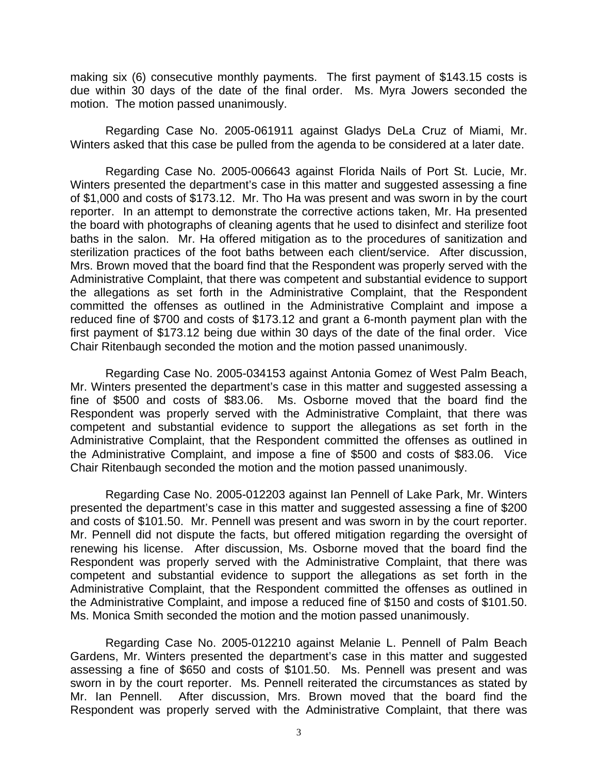making six (6) consecutive monthly payments. The first payment of \$143.15 costs is due within 30 days of the date of the final order. Ms. Myra Jowers seconded the motion. The motion passed unanimously.

Regarding Case No. 2005-061911 against Gladys DeLa Cruz of Miami, Mr. Winters asked that this case be pulled from the agenda to be considered at a later date.

 Regarding Case No. 2005-006643 against Florida Nails of Port St. Lucie, Mr. Winters presented the department's case in this matter and suggested assessing a fine of \$1,000 and costs of \$173.12. Mr. Tho Ha was present and was sworn in by the court reporter. In an attempt to demonstrate the corrective actions taken, Mr. Ha presented the board with photographs of cleaning agents that he used to disinfect and sterilize foot baths in the salon. Mr. Ha offered mitigation as to the procedures of sanitization and sterilization practices of the foot baths between each client/service. After discussion, Mrs. Brown moved that the board find that the Respondent was properly served with the Administrative Complaint, that there was competent and substantial evidence to support the allegations as set forth in the Administrative Complaint, that the Respondent committed the offenses as outlined in the Administrative Complaint and impose a reduced fine of \$700 and costs of \$173.12 and grant a 6-month payment plan with the first payment of \$173.12 being due within 30 days of the date of the final order. Vice Chair Ritenbaugh seconded the motion and the motion passed unanimously.

 Regarding Case No. 2005-034153 against Antonia Gomez of West Palm Beach, Mr. Winters presented the department's case in this matter and suggested assessing a fine of \$500 and costs of \$83.06. Ms. Osborne moved that the board find the Respondent was properly served with the Administrative Complaint, that there was competent and substantial evidence to support the allegations as set forth in the Administrative Complaint, that the Respondent committed the offenses as outlined in the Administrative Complaint, and impose a fine of \$500 and costs of \$83.06. Vice Chair Ritenbaugh seconded the motion and the motion passed unanimously.

Regarding Case No. 2005-012203 against Ian Pennell of Lake Park, Mr. Winters presented the department's case in this matter and suggested assessing a fine of \$200 and costs of \$101.50. Mr. Pennell was present and was sworn in by the court reporter. Mr. Pennell did not dispute the facts, but offered mitigation regarding the oversight of renewing his license. After discussion, Ms. Osborne moved that the board find the Respondent was properly served with the Administrative Complaint, that there was competent and substantial evidence to support the allegations as set forth in the Administrative Complaint, that the Respondent committed the offenses as outlined in the Administrative Complaint, and impose a reduced fine of \$150 and costs of \$101.50. Ms. Monica Smith seconded the motion and the motion passed unanimously.

 Regarding Case No. 2005-012210 against Melanie L. Pennell of Palm Beach Gardens, Mr. Winters presented the department's case in this matter and suggested assessing a fine of \$650 and costs of \$101.50. Ms. Pennell was present and was sworn in by the court reporter. Ms. Pennell reiterated the circumstances as stated by Mr. Ian Pennell. After discussion, Mrs. Brown moved that the board find the Respondent was properly served with the Administrative Complaint, that there was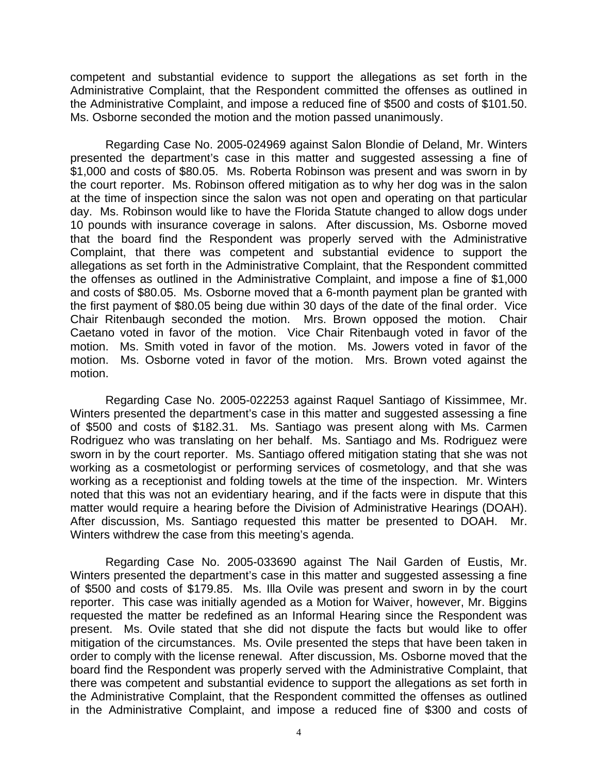competent and substantial evidence to support the allegations as set forth in the Administrative Complaint, that the Respondent committed the offenses as outlined in the Administrative Complaint, and impose a reduced fine of \$500 and costs of \$101.50. Ms. Osborne seconded the motion and the motion passed unanimously.

 Regarding Case No. 2005-024969 against Salon Blondie of Deland, Mr. Winters presented the department's case in this matter and suggested assessing a fine of \$1,000 and costs of \$80.05. Ms. Roberta Robinson was present and was sworn in by the court reporter. Ms. Robinson offered mitigation as to why her dog was in the salon at the time of inspection since the salon was not open and operating on that particular day. Ms. Robinson would like to have the Florida Statute changed to allow dogs under 10 pounds with insurance coverage in salons. After discussion, Ms. Osborne moved that the board find the Respondent was properly served with the Administrative Complaint, that there was competent and substantial evidence to support the allegations as set forth in the Administrative Complaint, that the Respondent committed the offenses as outlined in the Administrative Complaint, and impose a fine of \$1,000 and costs of \$80.05. Ms. Osborne moved that a 6-month payment plan be granted with the first payment of \$80.05 being due within 30 days of the date of the final order. Vice Chair Ritenbaugh seconded the motion. Mrs. Brown opposed the motion. Chair Caetano voted in favor of the motion. Vice Chair Ritenbaugh voted in favor of the motion. Ms. Smith voted in favor of the motion. Ms. Jowers voted in favor of the motion. Ms. Osborne voted in favor of the motion. Mrs. Brown voted against the motion.

Regarding Case No. 2005-022253 against Raquel Santiago of Kissimmee, Mr. Winters presented the department's case in this matter and suggested assessing a fine of \$500 and costs of \$182.31. Ms. Santiago was present along with Ms. Carmen Rodriguez who was translating on her behalf. Ms. Santiago and Ms. Rodriguez were sworn in by the court reporter. Ms. Santiago offered mitigation stating that she was not working as a cosmetologist or performing services of cosmetology, and that she was working as a receptionist and folding towels at the time of the inspection. Mr. Winters noted that this was not an evidentiary hearing, and if the facts were in dispute that this matter would require a hearing before the Division of Administrative Hearings (DOAH). After discussion, Ms. Santiago requested this matter be presented to DOAH. Mr. Winters withdrew the case from this meeting's agenda.

 Regarding Case No. 2005-033690 against The Nail Garden of Eustis, Mr. Winters presented the department's case in this matter and suggested assessing a fine of \$500 and costs of \$179.85. Ms. Illa Ovile was present and sworn in by the court reporter. This case was initially agended as a Motion for Waiver, however, Mr. Biggins requested the matter be redefined as an Informal Hearing since the Respondent was present. Ms. Ovile stated that she did not dispute the facts but would like to offer mitigation of the circumstances. Ms. Ovile presented the steps that have been taken in order to comply with the license renewal. After discussion, Ms. Osborne moved that the board find the Respondent was properly served with the Administrative Complaint, that there was competent and substantial evidence to support the allegations as set forth in the Administrative Complaint, that the Respondent committed the offenses as outlined in the Administrative Complaint, and impose a reduced fine of \$300 and costs of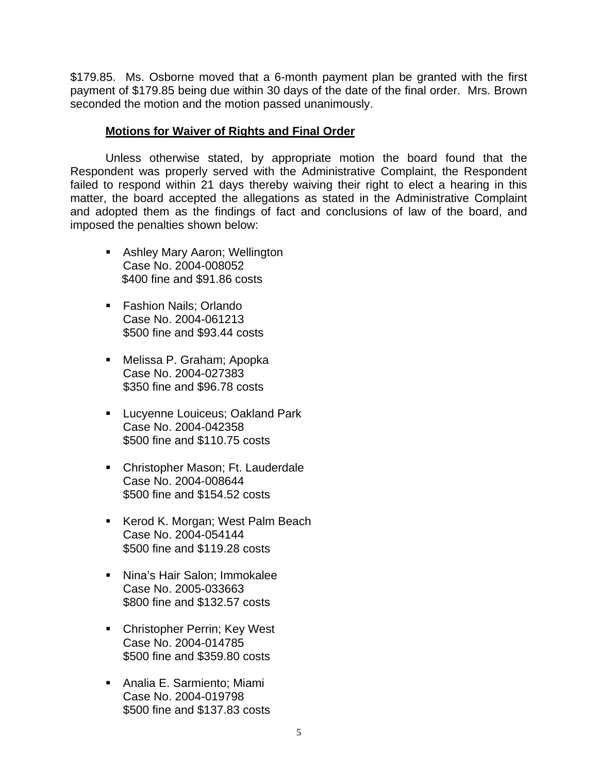\$179.85. Ms. Osborne moved that a 6-month payment plan be granted with the first payment of \$179.85 being due within 30 days of the date of the final order. Mrs. Brown seconded the motion and the motion passed unanimously.

### **Motions for Waiver of Rights and Final Order**

 Unless otherwise stated, by appropriate motion the board found that the Respondent was properly served with the Administrative Complaint, the Respondent failed to respond within 21 days thereby waiving their right to elect a hearing in this matter, the board accepted the allegations as stated in the Administrative Complaint and adopted them as the findings of fact and conclusions of law of the board, and imposed the penalties shown below:

- **Ashley Mary Aaron; Wellington** Case No. 2004-008052 \$400 fine and \$91.86 costs
- Fashion Nails; Orlando Case No. 2004-061213 \$500 fine and \$93.44 costs
- Melissa P. Graham; Apopka Case No. 2004-027383 \$350 fine and \$96.78 costs
- **Lucyenne Louiceus; Oakland Park** Case No. 2004-042358 \$500 fine and \$110.75 costs
- **EXEC** Christopher Mason; Ft. Lauderdale Case No. 2004-008644 \$500 fine and \$154.52 costs
- Kerod K. Morgan; West Palm Beach Case No. 2004-054144 \$500 fine and \$119.28 costs
- Nina's Hair Salon; Immokalee Case No. 2005-033663 \$800 fine and \$132.57 costs
- **EXEC** Christopher Perrin; Key West Case No. 2004-014785 \$500 fine and \$359.80 costs
- Analia E. Sarmiento; Miami Case No. 2004-019798 \$500 fine and \$137.83 costs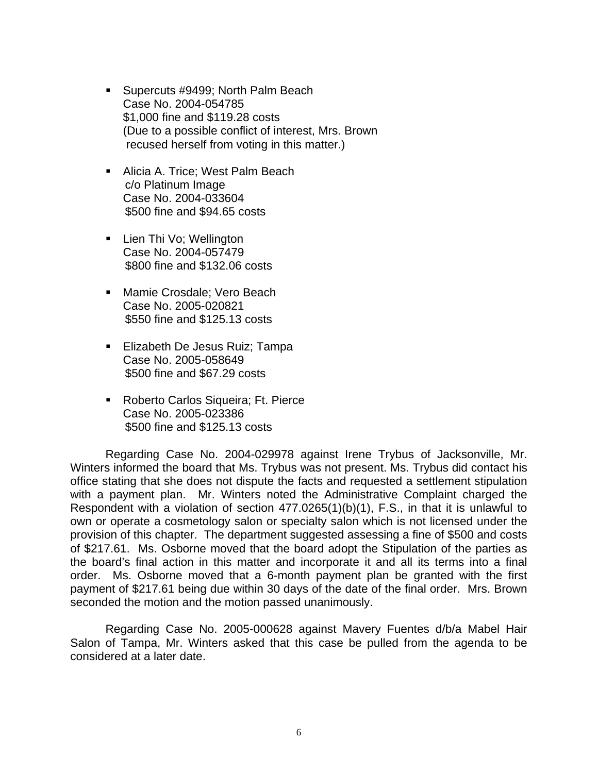- Supercuts #9499; North Palm Beach Case No. 2004-054785 \$1,000 fine and \$119.28 costs (Due to a possible conflict of interest, Mrs. Brown recused herself from voting in this matter.)
- **Alicia A. Trice; West Palm Beach**  c/o Platinum Image Case No. 2004-033604 \$500 fine and \$94.65 costs
- Lien Thi Vo; Wellington Case No. 2004-057479 \$800 fine and \$132.06 costs
- **Mamie Crosdale; Vero Beach** Case No. 2005-020821 \$550 fine and \$125.13 costs
- **Elizabeth De Jesus Ruiz; Tampa** Case No. 2005-058649 \$500 fine and \$67.29 costs
- **Roberto Carlos Siqueira; Ft. Pierce** Case No. 2005-023386 \$500 fine and \$125.13 costs

 Regarding Case No. 2004-029978 against Irene Trybus of Jacksonville, Mr. Winters informed the board that Ms. Trybus was not present. Ms. Trybus did contact his office stating that she does not dispute the facts and requested a settlement stipulation with a payment plan. Mr. Winters noted the Administrative Complaint charged the Respondent with a violation of section 477.0265(1)(b)(1), F.S., in that it is unlawful to own or operate a cosmetology salon or specialty salon which is not licensed under the provision of this chapter. The department suggested assessing a fine of \$500 and costs of \$217.61. Ms. Osborne moved that the board adopt the Stipulation of the parties as the board's final action in this matter and incorporate it and all its terms into a final order. Ms. Osborne moved that a 6-month payment plan be granted with the first payment of \$217.61 being due within 30 days of the date of the final order. Mrs. Brown seconded the motion and the motion passed unanimously.

 Regarding Case No. 2005-000628 against Mavery Fuentes d/b/a Mabel Hair Salon of Tampa, Mr. Winters asked that this case be pulled from the agenda to be considered at a later date.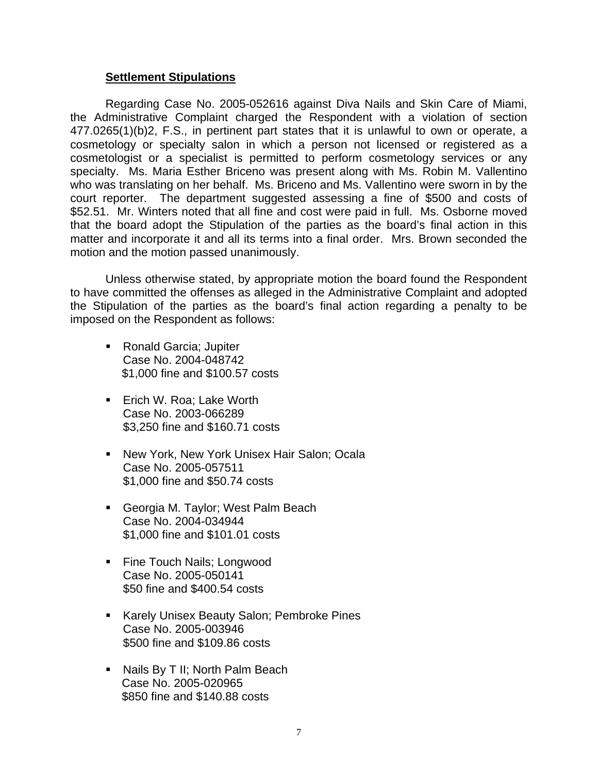#### **Settlement Stipulations**

 Regarding Case No. 2005-052616 against Diva Nails and Skin Care of Miami, the Administrative Complaint charged the Respondent with a violation of section 477.0265(1)(b)2, F.S., in pertinent part states that it is unlawful to own or operate, a cosmetology or specialty salon in which a person not licensed or registered as a cosmetologist or a specialist is permitted to perform cosmetology services or any specialty. Ms. Maria Esther Briceno was present along with Ms. Robin M. Vallentino who was translating on her behalf. Ms. Briceno and Ms. Vallentino were sworn in by the court reporter. The department suggested assessing a fine of \$500 and costs of \$52.51. Mr. Winters noted that all fine and cost were paid in full. Ms. Osborne moved that the board adopt the Stipulation of the parties as the board's final action in this matter and incorporate it and all its terms into a final order. Mrs. Brown seconded the motion and the motion passed unanimously.

 Unless otherwise stated, by appropriate motion the board found the Respondent to have committed the offenses as alleged in the Administrative Complaint and adopted the Stipulation of the parties as the board's final action regarding a penalty to be imposed on the Respondent as follows:

- Ronald Garcia; Jupiter Case No. 2004-048742 \$1,000 fine and \$100.57 costs
- **Eich W. Roa; Lake Worth** Case No. 2003-066289 \$3,250 fine and \$160.71 costs
- **New York, New York Unisex Hair Salon; Ocala** Case No. 2005-057511 \$1,000 fine and \$50.74 costs
- Georgia M. Taylor; West Palm Beach Case No. 2004-034944 \$1,000 fine and \$101.01 costs
- Fine Touch Nails; Longwood Case No. 2005-050141 \$50 fine and \$400.54 costs
- Karely Unisex Beauty Salon; Pembroke Pines Case No. 2005-003946 \$500 fine and \$109.86 costs
- **Nails By T II; North Palm Beach**  Case No. 2005-020965 \$850 fine and \$140.88 costs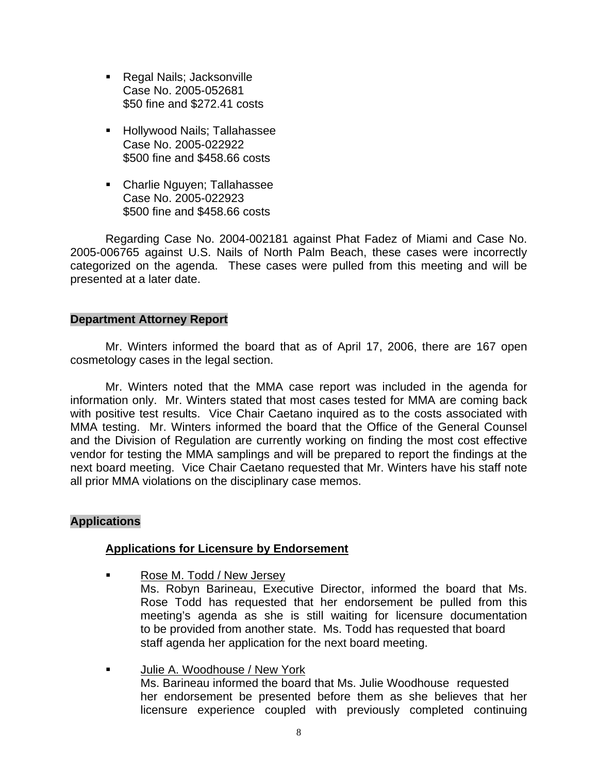- Regal Nails; Jacksonville Case No. 2005-052681 \$50 fine and \$272.41 costs
- **Hollywood Nails; Tallahassee** Case No. 2005-022922 \$500 fine and \$458.66 costs
- Charlie Nguyen; Tallahassee Case No. 2005-022923 \$500 fine and \$458.66 costs

 Regarding Case No. 2004-002181 against Phat Fadez of Miami and Case No. 2005-006765 against U.S. Nails of North Palm Beach, these cases were incorrectly categorized on the agenda. These cases were pulled from this meeting and will be presented at a later date.

# **Department Attorney Report**

Mr. Winters informed the board that as of April 17, 2006, there are 167 open cosmetology cases in the legal section.

 Mr. Winters noted that the MMA case report was included in the agenda for information only. Mr. Winters stated that most cases tested for MMA are coming back with positive test results. Vice Chair Caetano inquired as to the costs associated with MMA testing. Mr. Winters informed the board that the Office of the General Counsel and the Division of Regulation are currently working on finding the most cost effective vendor for testing the MMA samplings and will be prepared to report the findings at the next board meeting. Vice Chair Caetano requested that Mr. Winters have his staff note all prior MMA violations on the disciplinary case memos.

# **Applications**

#### **Applications for Licensure by Endorsement**

- Rose M. Todd / New Jersey Ms. Robyn Barineau, Executive Director, informed the board that Ms. Rose Todd has requested that her endorsement be pulled from this meeting's agenda as she is still waiting for licensure documentation to be provided from another state. Ms. Todd has requested that board staff agenda her application for the next board meeting.
- **Julie A. Woodhouse / New York**  Ms. Barineau informed the board that Ms. Julie Woodhouse requested her endorsement be presented before them as she believes that her licensure experience coupled with previously completed continuing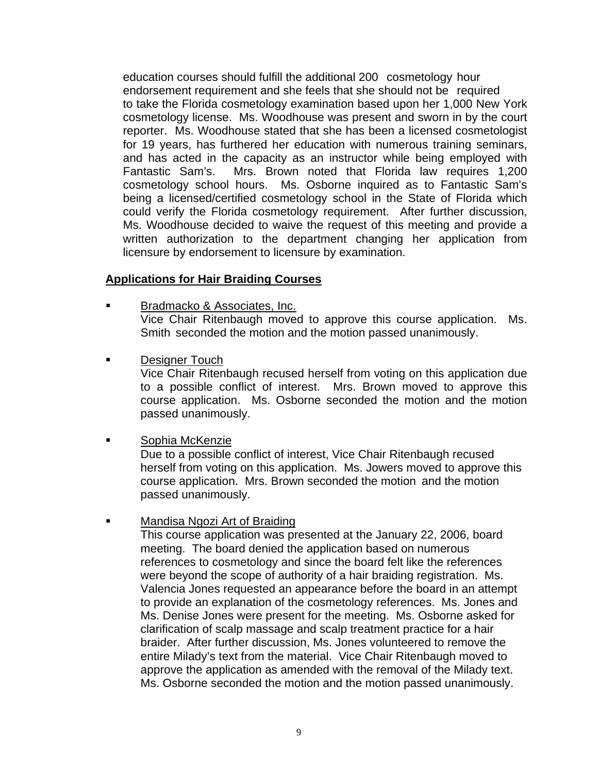education courses should fulfill the additional 200 cosmetology hour endorsement requirement and she feels that she should not be required to take the Florida cosmetology examination based upon her 1,000 New York cosmetology license. Ms. Woodhouse was present and sworn in by the court reporter. Ms. Woodhouse stated that she has been a licensed cosmetologist for 19 years, has furthered her education with numerous training seminars, and has acted in the capacity as an instructor while being employed with Fantastic Sam's. Mrs. Brown noted that Florida law requires 1,200 cosmetology school hours. Ms. Osborne inquired as to Fantastic Sam's being a licensed/certified cosmetology school in the State of Florida which could verify the Florida cosmetology requirement. After further discussion, Ms. Woodhouse decided to waive the request of this meeting and provide a written authorization to the department changing her application from licensure by endorsement to licensure by examination.

# **Applications for Hair Braiding Courses**

- Bradmacko & Associates, Inc. Vice Chair Ritenbaugh moved to approve this course application. Ms. Smith seconded the motion and the motion passed unanimously.
- Designer Touch

 Vice Chair Ritenbaugh recused herself from voting on this application due to a possible conflict of interest. Mrs. Brown moved to approve this course application. Ms. Osborne seconded the motion and the motion passed unanimously.

**Example 3** Sophia McKenzie

 Due to a possible conflict of interest, Vice Chair Ritenbaugh recused herself from voting on this application. Ms. Jowers moved to approve this course application. Mrs. Brown seconded the motion and the motion passed unanimously.

**Mandisa Ngozi Art of Braiding** 

 This course application was presented at the January 22, 2006, board meeting. The board denied the application based on numerous references to cosmetology and since the board felt like the references were beyond the scope of authority of a hair braiding registration. Ms. Valencia Jones requested an appearance before the board in an attempt to provide an explanation of the cosmetology references. Ms. Jones and Ms. Denise Jones were present for the meeting. Ms. Osborne asked for clarification of scalp massage and scalp treatment practice for a hair braider. After further discussion, Ms. Jones volunteered to remove the entire Milady's text from the material. Vice Chair Ritenbaugh moved to approve the application as amended with the removal of the Milady text. Ms. Osborne seconded the motion and the motion passed unanimously.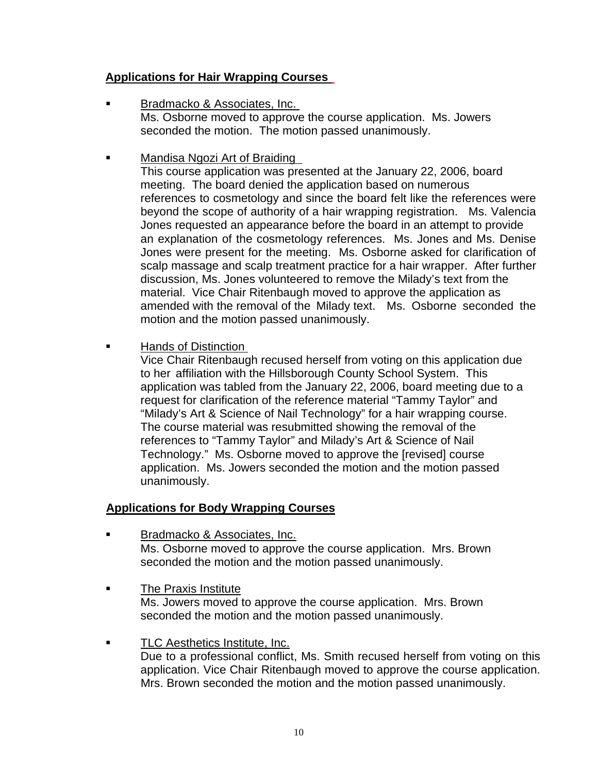# **Applications for Hair Wrapping Courses**

- Bradmacko & Associates, Inc. Ms. Osborne moved to approve the course application. Ms. Jowers seconded the motion. The motion passed unanimously.
- Mandisa Ngozi Art of Braiding

 This course application was presented at the January 22, 2006, board meeting. The board denied the application based on numerous references to cosmetology and since the board felt like the references were beyond the scope of authority of a hair wrapping registration. Ms. Valencia Jones requested an appearance before the board in an attempt to provide an explanation of the cosmetology references. Ms. Jones and Ms. Denise Jones were present for the meeting. Ms. Osborne asked for clarification of scalp massage and scalp treatment practice for a hair wrapper. After further discussion, Ms. Jones volunteered to remove the Milady's text from the material. Vice Chair Ritenbaugh moved to approve the application as amended with the removal of the Milady text. Ms. Osborne seconded the motion and the motion passed unanimously.

Hands of Distinction

 Vice Chair Ritenbaugh recused herself from voting on this application due to her affiliation with the Hillsborough County School System. This application was tabled from the January 22, 2006, board meeting due to a request for clarification of the reference material "Tammy Taylor" and "Milady's Art & Science of Nail Technology" for a hair wrapping course. The course material was resubmitted showing the removal of the references to "Tammy Taylor" and Milady's Art & Science of Nail Technology." Ms. Osborne moved to approve the [revised] course application. Ms. Jowers seconded the motion and the motion passed unanimously.

# **Applications for Body Wrapping Courses**

- Bradmacko & Associates, Inc. Ms. Osborne moved to approve the course application. Mrs. Brown seconded the motion and the motion passed unanimously.
- **The Praxis Institute**  Ms. Jowers moved to approve the course application. Mrs. Brown seconded the motion and the motion passed unanimously.
- TLC Aesthetics Institute, Inc. Due to a professional conflict, Ms. Smith recused herself from voting on this application. Vice Chair Ritenbaugh moved to approve the course application. Mrs. Brown seconded the motion and the motion passed unanimously.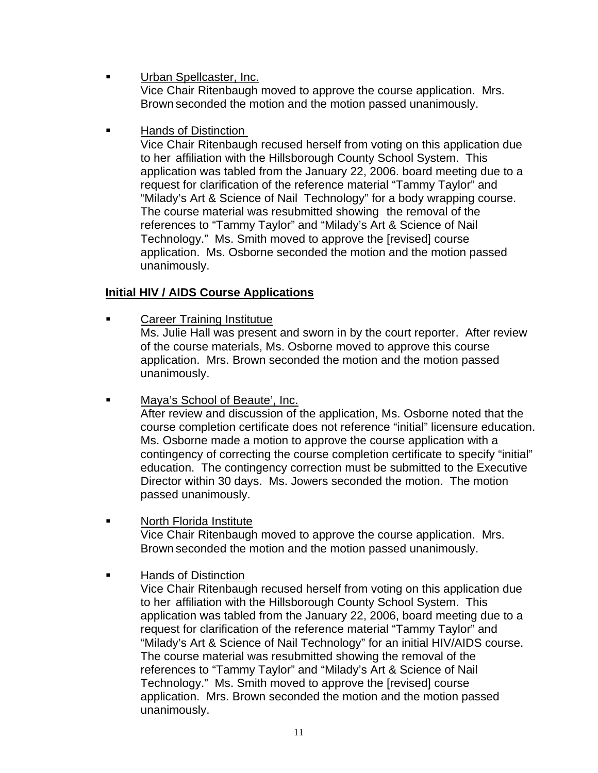- Urban Spellcaster, Inc. Vice Chair Ritenbaugh moved to approve the course application. Mrs. Brown seconded the motion and the motion passed unanimously.
- Hands of Distinction

 Vice Chair Ritenbaugh recused herself from voting on this application due to her affiliation with the Hillsborough County School System. This application was tabled from the January 22, 2006. board meeting due to a request for clarification of the reference material "Tammy Taylor" and "Milady's Art & Science of Nail Technology" for a body wrapping course. The course material was resubmitted showing the removal of the references to "Tammy Taylor" and "Milady's Art & Science of Nail Technology." Ms. Smith moved to approve the [revised] course application. Ms. Osborne seconded the motion and the motion passed unanimously.

# **Initial HIV / AIDS Course Applications**

**EXEC** Career Training Institutue

 Ms. Julie Hall was present and sworn in by the court reporter. After review of the course materials, Ms. Osborne moved to approve this course application. Mrs. Brown seconded the motion and the motion passed unanimously.

**Maya's School of Beaute', Inc.** 

 After review and discussion of the application, Ms. Osborne noted that the course completion certificate does not reference "initial" licensure education. Ms. Osborne made a motion to approve the course application with a contingency of correcting the course completion certificate to specify "initial" education. The contingency correction must be submitted to the Executive Director within 30 days. Ms. Jowers seconded the motion. The motion passed unanimously.

**North Florida Institute** 

 Vice Chair Ritenbaugh moved to approve the course application. Mrs. Brown seconded the motion and the motion passed unanimously.

Hands of Distinction

 Vice Chair Ritenbaugh recused herself from voting on this application due to her affiliation with the Hillsborough County School System. This application was tabled from the January 22, 2006, board meeting due to a request for clarification of the reference material "Tammy Taylor" and "Milady's Art & Science of Nail Technology" for an initial HIV/AIDS course. The course material was resubmitted showing the removal of the references to "Tammy Taylor" and "Milady's Art & Science of Nail Technology." Ms. Smith moved to approve the [revised] course application. Mrs. Brown seconded the motion and the motion passed unanimously.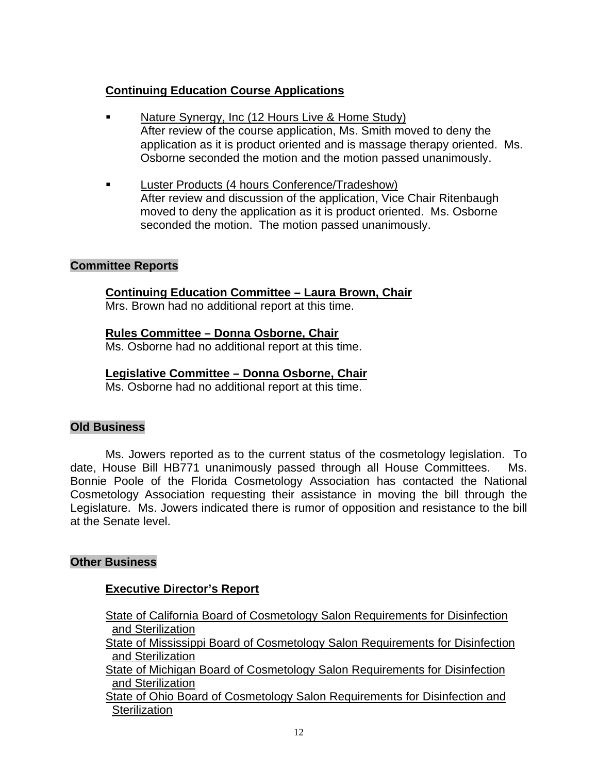# **Continuing Education Course Applications**

- Nature Synergy, Inc (12 Hours Live & Home Study) After review of the course application, Ms. Smith moved to deny the application as it is product oriented and is massage therapy oriented. Ms. Osborne seconded the motion and the motion passed unanimously.
- **Luster Products (4 hours Conference/Tradeshow)**  After review and discussion of the application, Vice Chair Ritenbaugh moved to deny the application as it is product oriented. Ms. Osborne seconded the motion. The motion passed unanimously.

# **Committee Reports**

# **Continuing Education Committee – Laura Brown, Chair**

Mrs. Brown had no additional report at this time.

# **Rules Committee – Donna Osborne, Chair**

Ms. Osborne had no additional report at this time.

# **Legislative Committee – Donna Osborne, Chair**

Ms. Osborne had no additional report at this time.

# **Old Business**

 Ms. Jowers reported as to the current status of the cosmetology legislation. To date, House Bill HB771 unanimously passed through all House Committees. Ms. Bonnie Poole of the Florida Cosmetology Association has contacted the National Cosmetology Association requesting their assistance in moving the bill through the Legislature. Ms. Jowers indicated there is rumor of opposition and resistance to the bill at the Senate level.

# **Other Business**

# **Executive Director's Report**

 State of California Board of Cosmetology Salon Requirements for Disinfection and Sterilization

 State of Mississippi Board of Cosmetology Salon Requirements for Disinfection and Sterilization

 State of Michigan Board of Cosmetology Salon Requirements for Disinfection and Sterilization

 State of Ohio Board of Cosmetology Salon Requirements for Disinfection and **Sterilization**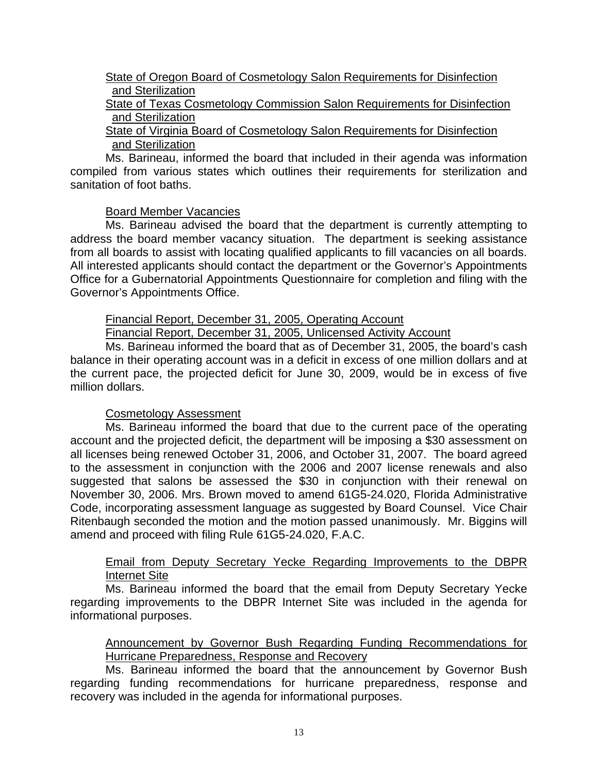# State of Oregon Board of Cosmetology Salon Requirements for Disinfection and Sterilization

# State of Texas Cosmetology Commission Salon Requirements for Disinfection and Sterilization

# State of Virginia Board of Cosmetology Salon Requirements for Disinfection and Sterilization

 Ms. Barineau, informed the board that included in their agenda was information compiled from various states which outlines their requirements for sterilization and sanitation of foot baths.

# Board Member Vacancies

 Ms. Barineau advised the board that the department is currently attempting to address the board member vacancy situation. The department is seeking assistance from all boards to assist with locating qualified applicants to fill vacancies on all boards. All interested applicants should contact the department or the Governor's Appointments Office for a Gubernatorial Appointments Questionnaire for completion and filing with the Governor's Appointments Office.

# Financial Report, December 31, 2005, Operating Account

Financial Report, December 31, 2005, Unlicensed Activity Account

 Ms. Barineau informed the board that as of December 31, 2005, the board's cash balance in their operating account was in a deficit in excess of one million dollars and at the current pace, the projected deficit for June 30, 2009, would be in excess of five million dollars.

# Cosmetology Assessment

 Ms. Barineau informed the board that due to the current pace of the operating account and the projected deficit, the department will be imposing a \$30 assessment on all licenses being renewed October 31, 2006, and October 31, 2007. The board agreed to the assessment in conjunction with the 2006 and 2007 license renewals and also suggested that salons be assessed the \$30 in conjunction with their renewal on November 30, 2006. Mrs. Brown moved to amend 61G5-24.020, Florida Administrative Code, incorporating assessment language as suggested by Board Counsel. Vice Chair Ritenbaugh seconded the motion and the motion passed unanimously. Mr. Biggins will amend and proceed with filing Rule 61G5-24.020, F.A.C.

# Email from Deputy Secretary Yecke Regarding Improvements to the DBPR Internet Site

 Ms. Barineau informed the board that the email from Deputy Secretary Yecke regarding improvements to the DBPR Internet Site was included in the agenda for informational purposes.

 Announcement by Governor Bush Regarding Funding Recommendations for Hurricane Preparedness, Response and Recovery

 Ms. Barineau informed the board that the announcement by Governor Bush regarding funding recommendations for hurricane preparedness, response and recovery was included in the agenda for informational purposes.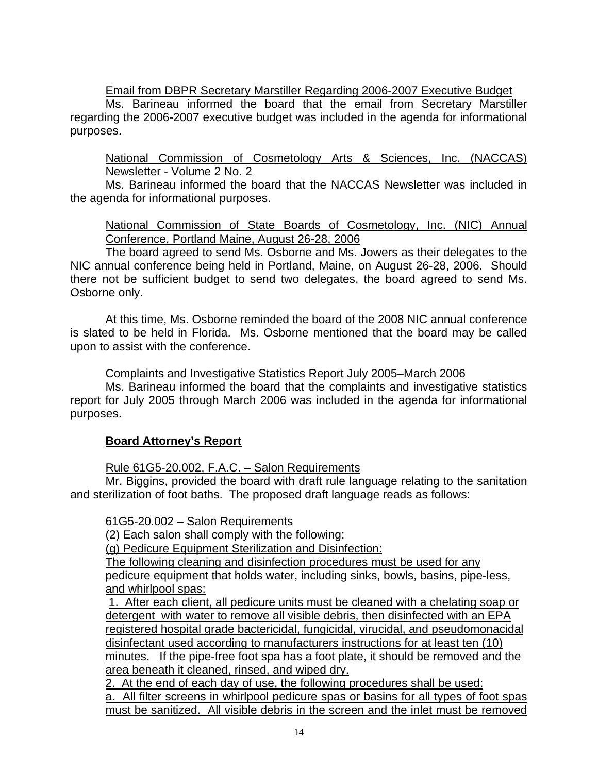# Email from DBPR Secretary Marstiller Regarding 2006-2007 Executive Budget

 Ms. Barineau informed the board that the email from Secretary Marstiller regarding the 2006-2007 executive budget was included in the agenda for informational purposes.

 National Commission of Cosmetology Arts & Sciences, Inc. (NACCAS) Newsletter - Volume 2 No. 2

 Ms. Barineau informed the board that the NACCAS Newsletter was included in the agenda for informational purposes.

# National Commission of State Boards of Cosmetology, Inc. (NIC) Annual Conference, Portland Maine, August 26-28, 2006

 The board agreed to send Ms. Osborne and Ms. Jowers as their delegates to the NIC annual conference being held in Portland, Maine, on August 26-28, 2006. Should there not be sufficient budget to send two delegates, the board agreed to send Ms. Osborne only.

 At this time, Ms. Osborne reminded the board of the 2008 NIC annual conference is slated to be held in Florida. Ms. Osborne mentioned that the board may be called upon to assist with the conference.

Complaints and Investigative Statistics Report July 2005–March 2006

 Ms. Barineau informed the board that the complaints and investigative statistics report for July 2005 through March 2006 was included in the agenda for informational purposes.

# **Board Attorney's Report**

Rule 61G5-20.002, F.A.C. – Salon Requirements

 Mr. Biggins, provided the board with draft rule language relating to the sanitation and sterilization of foot baths. The proposed draft language reads as follows:

61G5-20.002 – Salon Requirements

(2) Each salon shall comply with the following:

(g) Pedicure Equipment Sterilization and Disinfection:

The following cleaning and disinfection procedures must be used for any pedicure equipment that holds water, including sinks, bowls, basins, pipe-less, and whirlpool spas:

 1. After each client, all pedicure units must be cleaned with a chelating soap or detergent with water to remove all visible debris, then disinfected with an EPA registered hospital grade bactericidal, fungicidal, virucidal, and pseudomonacidal disinfectant used according to manufacturers instructions for at least ten (10) minutes. If the pipe-free foot spa has a foot plate, it should be removed and the area beneath it cleaned, rinsed, and wiped dry.

2. At the end of each day of use, the following procedures shall be used: a. All filter screens in whirlpool pedicure spas or basins for all types of foot spas must be sanitized. All visible debris in the screen and the inlet must be removed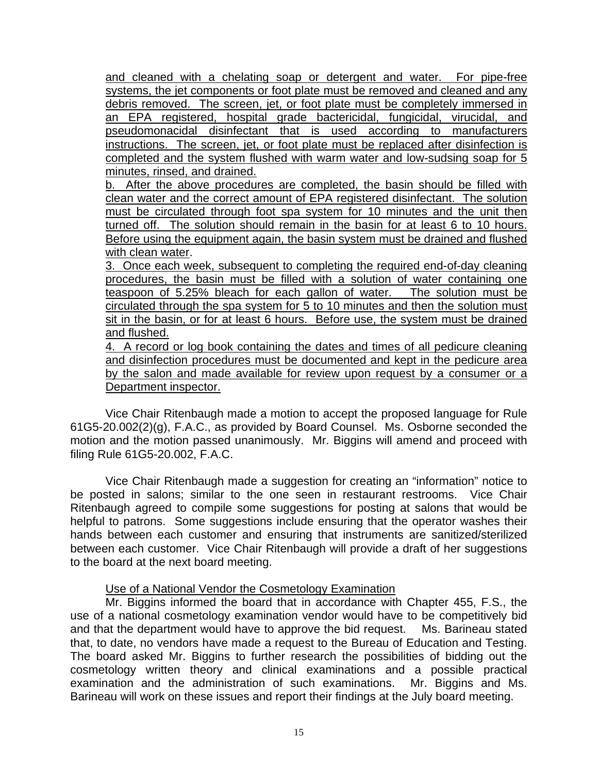and cleaned with a chelating soap or detergent and water. For pipe-free systems, the jet components or foot plate must be removed and cleaned and any debris removed. The screen, jet, or foot plate must be completely immersed in an EPA registered, hospital grade bactericidal, fungicidal, virucidal, and pseudomonacidal disinfectant that is used according to manufacturers instructions. The screen, jet, or foot plate must be replaced after disinfection is completed and the system flushed with warm water and low-sudsing soap for 5 minutes, rinsed, and drained.

b. After the above procedures are completed, the basin should be filled with clean water and the correct amount of EPA registered disinfectant. The solution must be circulated through foot spa system for 10 minutes and the unit then turned off. The solution should remain in the basin for at least 6 to 10 hours. Before using the equipment again, the basin system must be drained and flushed with clean water.

3. Once each week, subsequent to completing the required end-of-day cleaning procedures, the basin must be filled with a solution of water containing one teaspoon of 5.25% bleach for each gallon of water. The solution must be circulated through the spa system for 5 to 10 minutes and then the solution must sit in the basin, or for at least 6 hours. Before use, the system must be drained and flushed.

4. A record or log book containing the dates and times of all pedicure cleaning and disinfection procedures must be documented and kept in the pedicure area by the salon and made available for review upon request by a consumer or a Department inspector.

Vice Chair Ritenbaugh made a motion to accept the proposed language for Rule 61G5-20.002(2)(g), F.A.C., as provided by Board Counsel. Ms. Osborne seconded the motion and the motion passed unanimously. Mr. Biggins will amend and proceed with filing Rule 61G5-20.002, F.A.C.

Vice Chair Ritenbaugh made a suggestion for creating an "information" notice to be posted in salons; similar to the one seen in restaurant restrooms. Vice Chair Ritenbaugh agreed to compile some suggestions for posting at salons that would be helpful to patrons. Some suggestions include ensuring that the operator washes their hands between each customer and ensuring that instruments are sanitized/sterilized between each customer. Vice Chair Ritenbaugh will provide a draft of her suggestions to the board at the next board meeting.

# Use of a National Vendor the Cosmetology Examination

 Mr. Biggins informed the board that in accordance with Chapter 455, F.S., the use of a national cosmetology examination vendor would have to be competitively bid and that the department would have to approve the bid request. Ms. Barineau stated that, to date, no vendors have made a request to the Bureau of Education and Testing. The board asked Mr. Biggins to further research the possibilities of bidding out the cosmetology written theory and clinical examinations and a possible practical examination and the administration of such examinations. Mr. Biggins and Ms. Barineau will work on these issues and report their findings at the July board meeting.